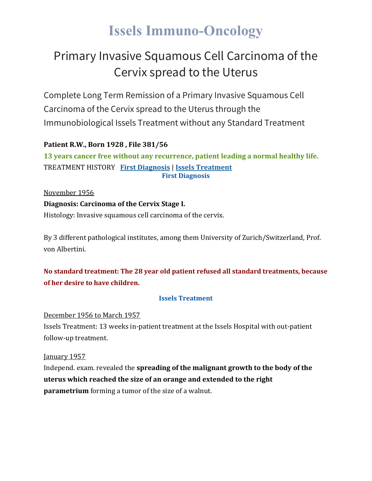# **Issels Immuno-Oncology**

## Primary Invasive Squamous Cell Carcinoma of the Cervix spread to the Uterus

Complete Long Term Remission of a Primary Invasive Squamous Cell Carcinoma of the Cervix spread to the Uterus through the Immunobiological Issels Treatment without any Standard Treatment

### **Patient R.W., Born 1928 , File 381/56**

**13 years cancer free without any recurrence, patient leading a normal healthy life.** TREATMENT HISTORY **First [Diagnosis](https://issels.com/cancer-cases/squamous-cell-5-primary-invasive-squamous-cell-cervical-cancer-spread-to-uterus/#First)** | **Issels [Treatment](https://issels.com/cancer-cases/squamous-cell-5-primary-invasive-squamous-cell-cervical-cancer-spread-to-uterus/#Issels) First Diagnosis**

November 1956

### **Diagnosis: Carcinoma of the Cervix Stage I.**

Histology: Invasive squamous cell carcinoma of the cervix.

By 3 different pathological institutes, among them University of Zurich/Switzerland, Prof. von Albertini.

### **No standard treatment: The 28 year old patient refused all standard treatments, because of her desire to have children.**

#### **Issels Treatment**

December 1956 to March 1957

Issels Treatment: 13 weeks in-patient treatment at the Issels Hospital with out-patient follow-up treatment.

January 1957

Independ. exam. revealed the **spreading of the malignant growth to the body of the uterus which reached the size of an orange and extended to the right parametrium** forming a tumor of the size of a walnut.